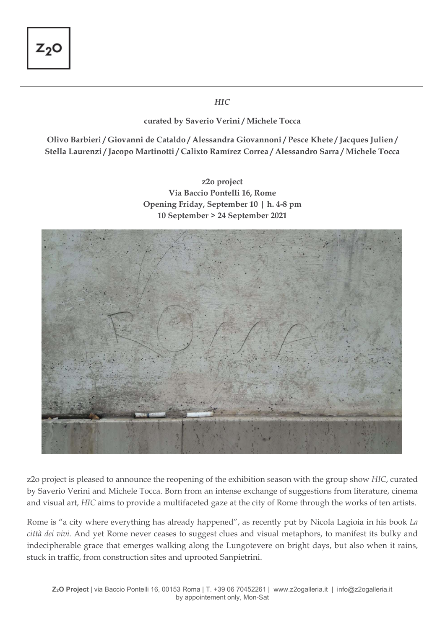$\overline{a}$ 

## *HIC*

## **curated by Saverio Verini / Michele Tocca**

**Olivo Barbieri / Giovanni de Cataldo / Alessandra Giovannoni / Pesce Khete / Jacques Julien / Stella Laurenzi / Jacopo Martinotti / Calixto Ramírez Correa / Alessandro Sarra / Michele Tocca** 

> **z2o project Via Baccio Pontelli 16, Rome Opening Friday, September 10 | h. 4-8 pm 10 September > 24 September 2021**



z2o project is pleased to announce the reopening of the exhibition season with the group show *HIC*, curated by Saverio Verini and Michele Tocca. Born from an intense exchange of suggestions from literature, cinema and visual art, *HIC* aims to provide a multifaceted gaze at the city of Rome through the works of ten artists.

Rome is "a city where everything has already happened", as recently put by Nicola Lagioia in his book *La città dei vivi.* And yet Rome never ceases to suggest clues and visual metaphors, to manifest its bulky and indecipherable grace that emerges walking along the Lungotevere on bright days, but also when it rains, stuck in traffic, from construction sites and uprooted Sanpietrini.